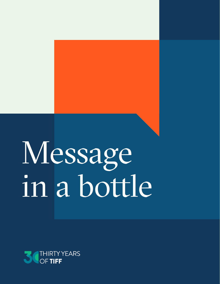# Message in a bottle

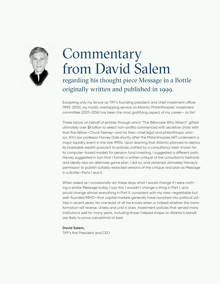

### **Commentary** from David Salem regarding his thought piece Message in a Bottle originally written and published in 1999.

Excepting only my tenure as TIFF's founding president and chief investment officer (1993-2010), my mostly overlapping service on Atlantic Philanthropies' investment committee (2001-2016) has been the most gratifying aspect of my career— so far!

These labors on behalf of entities through which "The Billionaire Who Wasn't" gifted ultimately over \$8 billion to select non-profits commenced with secretive chats with that fine fellow—Chuck Feeney—and his then-chief legal and philanthropic advisor, NYU law professor Harvey Dale shortly after the Philanthropies (AP) underwent a major liquidity event in the late 1990s. Upon learning that Atlantic planned to deploy its investable wealth pursuant to policies crafted by a consultancy best-known for its computer-based models for pension fund investing, I suggested a different path. Harvey suggested in turn that I furnish a written critique of the consultant's methods and ideally also an alternate game plan. I did so, and obtained ultimately Harvey's permission to publish suitably redacted versions of the critique and plan as Message in a Bottle—Parts I and II.

When asked as I occasionally am these days what I would change if I were crafting a similar Message today, I say this: I wouldn't change a thing in Part I, and would change almost everything in Part II, consistent with my view—regrettable but well-founded IMHO—that capital markets generally have morphed into political utilities in recent years. No one least of all me knows when or indeed whether this transformation will reverse. Unless and until it does, investment policies that served many institutions well for many years, including those I helped shape on Atlantic's behalf, are likely to prove suboptimal at best.

#### **David Salem,**

TIFF's first President and CEO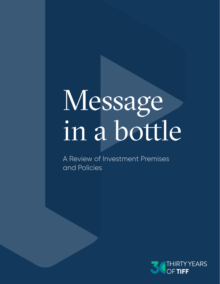## Message in a bottle

A Review of Investment Premises and Policies

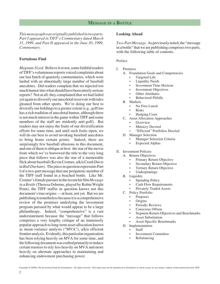*This monograph was originally published in two parts. Part I appeared in TIFF's Commentary dated March 31, 1999, and Part II appeared in the June 30, 1999, Commentary.*

#### **Fortuitous Find**

*Magnum-Sized.* Believe it or not, some faithful readers of TIFF's voluminous reports voiced complaints about our last batch of quarterly commentaries, which were larded with an abnormally large number of baseball anecdotes. Did readers complain that we injected too much humor into what should have been utterly serious reports? Not at all: they complained that we had failed yet again to diversify our anecdotal reservoir with tales gleaned from other sports. We're doing our best to diversify our holdings to a greater extent (e.g., golf too has a rich tradition of anecdotal humor, although there is not much interest in the game within TIFF and some members of the staff are stridently anti-golf). But readers may not enjoy the fruits of our diversification efforts for some time, and until such fruits ripen, we will do our best to avoid invoking baseball anecdotes to bring home certain points. Indeed, there are surprisingly few baseball allusions in this document, and one of them is oblique at best: the star of the movie from which we've borrowed the title to the very long piece that follows was also the star of a memorable flick about baseball (Kevin Costner, a/k/a Crash Davis in *Bull Durham*). The piece in question represents Part I of a two-part message that one peripatetic member of the TIFF staff found in a beached bottle. Like Mr. Costner's female pursuer in the recent hit film *Message in a Bottle* (Theresa Osborne, played by Robin Wright Penn), the TIFF staffer in question knows not this document's true origins — at least, not yet. But we are publishing it nonetheless because it is a comprehensive review of the premises underlying the investment program pursued by what would appear to be a large philanthropy. Indeed, "comprehensive" is a vast understatement because the "message" that follows comprises a very lengthy critique of an immensely popular approach to long-term asset allocation known as mean-variance analysis ("MVA"), a/k/a efficient frontier analysis. Evidently, this particular organization has been relying heavily on MVA for some time, and the following document was crafted primarily to induce certain trustees to rely less heavily on MVA and more heavily on alternate approaches to maintaining and enhancing endowment purchasing power.

#### **Looking Ahead**

*Two-Part Message.* As previously noted, the "message in a bottle" that we are publishing comprises two parts, with the following table of contents.

#### Preface

- I. Premises
	- A. Foundation Goals and Competencies
		- Targeted Life
		- **Liquidity Needs**
		- Investment Time Horizon
		- **Investment Objectives**
		- **Other Attributes**
		- Behavioral Pitfalls
	- B. Markets
		- No Free Lunch
		- Risks
		- Hedging Costs
	- C. Asset Allocation Approaches
		- **Overview** 
			- **Mimicry Decried**
			- "Efficient" Portfolios Decried
	- D. Manager Selection
		- **Manager Selection Criteria**
		- Expected Alphas

#### II. Investment Policies

- A. Return Objectives
	- Primary Return Objective
	- Secondary Return Objective
	- Tertiary Return Objective
	- Underpinnings
- B. Liquidity
	- Spending Policy
	- Cash Flow Requirements
	- Privately Traded Assets
- C. Policy Portfolio
	- Purposes
	- **Origins**
	- Periodic Reviews
	- Conscious Offsets
	- Segment Return Objectives and Benchmarks
	- Asset Substitution
	- Asset-Specific Benchmarks
- D. Implementation
	- **Staff** 
		- Investment Committee
		- Rebalancing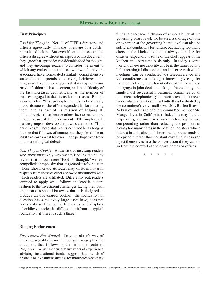#### **First Principles**

*Food for Thought.* Not all of TIFF's directors and officers agree fully with the "message in a bottle" reproduced below. But even if certain directors and officers disagree with certain aspects of this document, they agree that it provides considerable food for thought, and they encourage readers to consider the extent to which any endowed institutions with which they are associated have formulated similarly comprehensive statements of the premises underlying their investment programs. Experience suggests that it is by no means easy to fashion such a statement, and the difficulty of the task increases geometrically as the number of trustees engaged in the discussion increases. But the value of clear "first principles" tends to be directly proportionate to the effort expended in formulating them, and as part of its mission of helping all philanthropies (members or otherwise) to make more productive use of their endowments, TIFF implores all trustee groups to develop their own statement of "first principles." These statements need not be as long as the one that follows, of course, but they should be **at least** as clear as what follows — and perhaps even freer of apparent logical defects.

*Odd-Shaped Cookie.* At the risk of insulting readers who know intuitively why we are labeling the policy review that follows mere "food for thought," we feel compelled to emphasize that it is geared to a foundation whose idiosyncratic attributes may differ in material respects from those of other endowed institutions with which readers are affiliated. Differently put, readers tempted to apply what follows in "cookie cutter" fashion to the investment challenges facing their own organizations should be aware that it is designed to produce an odd-shaped cookie: the foundation in question has a relatively large asset base, does not necessarily seek perpetual life status, and displays other idiosyncracies that differentiate it from the typical foundation (if there is such a thing).

#### **Ringing Endorsement**

*Part-Timers Not Wanted.* To your editor's way of thinking, arguably the most important paragraph of the document that follows is the first one (entitled *Purposes*). Why? Because many years of experience advising institutional funds suggest that the chief obstacle to investment success for many eleemosynary funds is excessive diffusion of responsibility at the governing board level. To be sure, a shortage of time or expertise at the governing board level can also be sufficient conditions for failure, but having too many chefs in the kitchen is almost always a recipe for disaster, especially if some of the chefs appear in the kitchen on a part-time basis only. In today's wired world, trustees need not always be in the same room to hold meaningful discussions, and the ease with which meetings can be conducted via teleconference and videoconference is making it increasingly easy for individuals living in different cities (if not countries) to engage in joint decisionmaking. Interestingly, the single most successful investment committee of all time meets telephonically far more often than it meets face-to-face, a practice that admittedly is facilitated by the committee's very small size. (Mr. Buffett lives in Nebraska, and his sole fellow committee member Mr. Munger lives in California.) Indeed, it may be that improving communications technologies are compounding rather than reducing the problem of having too many chefs in the kitchen: trustees whose interest in an institution's investment process tends to be episodic rather than constant may find it easier to inject themselves into the conversation if they can do so from the comfort of their own homes or offices.

**\* \* \* \* \***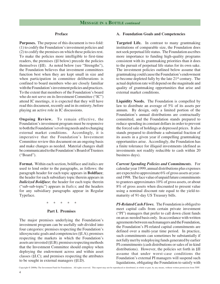#### **Preface**

**Purposes.** The purpose of this document is two-fold: (1) to codify the Foundation's investment policies and (2) to codify the premises on which these policies rest. To make the policies more intelligible to first-time readers, the premises (§I below) precede the policies themselves (§II).As noted below (see "Strengths"), the Foundation believes that investment committees function best when they are kept small in size and when participation in committee deliberations is confined to board members who are closely familiar with the Foundation's investment policies and practices. To the extent that members of the Foundation's board who do not serve on its Investment Committee ("IC") attend IC meetings, it is expected that they will have read this document, recently and in its entirety, before playing an active role in IC discussions.

**Ongoing Review.** To remain effective, the Foundation's investment program must be responsive to both the Foundation's evolving needs and to changing external market conditions. Accordingly, it is imperative that the Foundation's Investment Committee review this document on an ongoing basis and make changes as needed. Material changes shall be communicated to the Foundation's Board of Trustees ("Board").

**Format.** Within each section, boldface and italics are used to lend order to the paragraphs, as follows: the paragraph header for each topic appears in **Boldface**; the header for each subsidiary topic therein appears in *Italicized Boldface*; the header for each topic therein ("sub-sub-topic") appears in *Italics*; and the headers for any subsidiary paragraphs appear in Regular Typeface.

#### \* \* \* \* \*

#### **Part I. Premises**

The major premises underlying the Foundation's investment program can be usefully sub-divided into four categories: premises respecting the Foundation's idiosyncratic goals and competencies (§I.A); premises respecting the markets in which the Foundation's assets are invested (§I.B); premises respecting methods that the Investment Committee should employ when deploying the endowment across and within asset classes (§I.C); and premises respecting the attributes to be sought in external managers (§I.D).

#### **A. Foundation Goals and Competencies**

**Targeted Life.** In contrast to many grantmaking institutions of comparable size, the Foundation does not seek perpetual life status. The Foundation ascribes more importance to funding high-quality programs consistent with its grantmaking priorities than it does to the pursuit of perpetual life status for its own sake. The investment policies outlined below assume that grantmaking could cause the Foundation's endowment to become depleted fully by the late 21st century. The actual depletion rate will depend on the magnitude and quality of grantmaking opportunities that arise and external market conditions.

**Liquidity Needs.** The Foundation is compelled by law to distribute an average of 5% of its assets per annum. By design, only a limited portion of the Foundation's annual distributions are contractually committed, and the Foundation stands prepared to reduce spending in constant dollars in order to prevent the forced sale of holdings at depressed prices. It also stands prepared to distribute a substantial fraction of its assets in a given year if compelling grantmaking opportunities arise. Accordingly, the Foundation has a finite tolerance for illiquid investments (defined as investments not readily reducible to cash within 20 business days).

*Current Spending Policies and Commitments.* For calendar year 1999, annual distributions plus expenses are expected to approximate 6% of gross assets at yearend 1998. The face value of unpaid future commitments to grantees approximates 10% of gross assets, or about 8% of gross assets when discounted to present value using a nominal discount rate equal to the yield-tomaturity of 91-day US Treasury bills.

*PI-Related Cash Flows.* The Foundation is obliged to meet capital calls from certain private investment ("PI") managers that prefer to call down client funds on an as-needed basis only. In accordance with written agreements between such managers and the Foundation, the Foundation's PI-related capital commitments are defined over a multi-year time period. In practice, such commitments can sometimes be substantially if not fully met by redeploying funds generated by earlier PI commitments (cash distributions or sales of in-kind distributions). However, the policies set forth in §II assume that under worst-case conditions the Foundation's external PI managers will suspend such liquidations, obligating the Foundation to satisfy with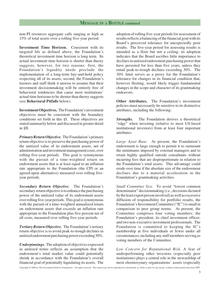non-PI resources aggregate calls ranging as high as 15% of total assets over a rolling five-year period.

**Investment Time Horizon.** Consistent with its targeted life as defined above, the Foundation's theoretical investment time horizon is long term. Its actual investment time horizon is shorter than theory suggests, however, for two reasons: first, the Foundation's liquidity needs preclude the implementation of a long-term buy-and-hold policy respecting all of its assets; second, the Foundation's trustees and staff think it unwise to assume that their investment decisionmaking will be entirely free of behavioral tendencies that cause most institutions' actual time horizons to be shorter than theory suggests (see **Behavioral Pitfalls** below).

**Investment Objectives.**The Foundation's investment objectives must be consistent with the boundary conditions set forth in this §I. These objectives are stated summarily below and discussed in greater detail in §II.

*Primary Return Objective.* The Foundation's primary return objective is to preserve the purchasing power of the unitized value of its endowment assets, net of administration and investment management costs, over rolling five-year periods. This goal is synonymous with the pursuit of a time-weighted return on endowment assets that is at least equal to an inflation rate appropriate to the Foundation (the CPI or an agreed-upon alternative) measured over rolling fiveyear periods.

*Secondary Return Objective.* The Foundation's secondary return objective is to enhance the purchasing power of the unitized value of its endowment assets over rolling five-year periods. This goal is synonymous with the pursuit of a time-weighted annualized return on endowment assets that exceeds an inflation rate appropriate to the Foundation plus five percent net of all costs, measured over rolling five-year periods.

*Tertiary Return Objective.*The Foundation's tertiary return objective is to avoid peak-to-trough declines in unitized endowment purchasing power exceeding 30%.

*Underpinnings.*The adoption of objectives expressed in unitized terms reflects an assumption that the endowment's total market value could potentially shrink in accordance with the Foundation's overall financial goal of potentially liquidating its assets. The

adoption of rolling five-year periods for assessment of results reflects a balancing of the financial goal with its Board's perceived tolerance for unexpectedly poor results. The five-year period for assessing results is intended as a floor but not a ceiling: its adoption indicates that the Board ascribes little importance to declines in unitized endowment purchasing power that have persisted for less than five years, unless they entail peak-to-trough declines exceeding 30%. The 30% limit serves as a proxy for the Foundation's tolerance for changes in its financial condition that, however fleeting, would likely trigger fundamental changes in the scope and character of its grantmaking endeavors.

**Other Attributes.** The Foundation's investment policies must necessarily be sensitive to its distinctive attributes, including the following:

**Strengths.** The Foundation derives a theoretical "edge" when investing (relative to most US-based institutional investors) from at least four important attributes:

*Large Asset Base.* At present, the Foundation's endowment is large enough to permit it to surmount the minimums imposed by external managers and to retain highly qualified outside consultants without incurring fees that are disproportionate in relation to the Foundation's total assets. This advantage could erode over time if the absolute size of the endowment declines due to a material acceleration in the Foundation's grantmaking activities.

*Small Committee Size.* To avoid "lowest common denominator" decisionmaking (i.e., decisions dictated by the least expert person involved) as well as excessive diffusion of responsibility for portfolio results, the Foundation's Investment Committee ("IC") is small in comparison to peer group norms. At present, the Committee comprises four voting members: the Foundation's president, its chief investment officer, and two non-executive investment professionals. The Foundation is committed to keeping the IC's membership at five individuals or fewer under all circumstances, including any staff members serving as voting members of the Committee.

*Low Concern for Reputational Risk*. A fear of underperforming other investors (especially peer institutions) plays a central role in the stewardship of most eleemosynary organizations' assets (especially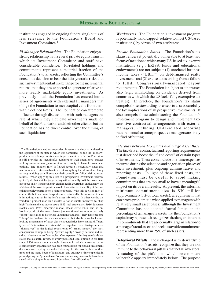institutions engaged in ongoing fundraising) but is of less relevance to the Foundation's Board and Investment Committee.<sup>1</sup>

*PI Manager Relationships.* The Foundation enjoys a strong relationship with several private equity firms in which its Investment Committee and staff have considerable confidence. PI-related holdings and commitments represent a material fraction of the Foundation's total assets, reflecting the Committee's conscious decision to bear the idiosyncratic risks that such investments entail in exchange for the incremental returns that they are expected to generate relative to more readily marketable equity investments. As previously noted, the Foundation has entered into a series of agreements with external PI managers that oblige the Foundation to meet capital calls from them within defined limits. The Foundation can attempt to influence through discussions with such managers the rate at which they liquidate investments made on behalf of the Foundation and their other clients, but the Foundation has no direct control over the timing of such liquidations.

<sup>1</sup> The Foundation is subject to prudent investor standards articulated by the legislature of the state in which it is domiciled. While the "modern" prudent man rule represents a vast improvement over the "old" version, it still provides no meaningful guidance to well-intentioned trustees seeking to choose among an almost infinite variety of plausible investment options. The "modern rule" is flawed because it essentially states that institutional investors are free to invest in anything that strikes their fancy as long as doing so will enhance their overall portfolios' risk-adjusted returns. When applying this test to a prospective investment, trustees typically do that which a judge or jury will assumedly do if the investment goes sour and it is subsequently challenged in court: they analyze how the addition of the asset in question would have affected the utility of the preexisting policy portfolio on a historical basis. With this decision rule, of course, the better an asset has performed historically, the more merit there is in adding it to an institution's asset mix today. In other words, the "modern" prudent man rule creates a not-so-subtle incentive to "buy high," as in small cap stocks *circa* 1983, real estate *circa* 1986, Japanese stocks *circa* 1989, emerging market stocks *circa* 1993, and so on. Ironically, all of the asset classes just mentioned are now objectively "cheap" in relation to historical valuation standards. They have become "cheap" for fundamental reasons, of course, but also because backwardlooking assessments of asset class characteristics have caused different types of "alternative investments" to supplant these first-generation "alternatives" as the logical repositories of "smart money," the most conspicuous examples being "private equity" broadly defined and socalled "absolute return" strategies. One expert on fiduciary standards has stated that a careful review of every published legal opinion in his field since 1800 reveals not a single instance in which a trustee of an eleemosynary organization has been found liable for flawed investment decisions — excepting cases of self-dealing. In other words, the countless trees and the many hours of legislators' and attorneys' time expended in promulgating the "prudent man" rule in its various guises could have been saved with a simple three-word injunction: "no self-dealing."

*Weaknesses.* The Foundation's investment program is potentially handicapped (relative to most US-based institutions) by virtue of two attributes:

*Private Foundation Status.* The Foundation's tax status renders it potentially vulnerable to at least two forms of taxation to which many US-based tax-exempt institutions (e.g., ERISA funds and educational endowments) are not subject: (1) unrelated business income taxes ("UBIT") on debt-financed realty investments and (2) excise taxes arising from a failure to fulfill Congressionally-mandated payout requirements. The Foundation is subject to other taxes also (e.g., withholding on dividends derived from countries with which the US lacks fully exemptive tax treaties). In practice, the Foundation's tax status compels those stewarding its assets to assess carefully the tax implications of all prospective investments. It also compels those administering the Foundation's investment program to design and implement taxsensitive contractual arrangements with external managers, including UBIT-related reporting requirements that some prospective managers are likely to find offputting.

*Interplay between Tax Status and Large Asset Base.* The tax-driven contractual and reporting requirements just described boost the "fixed costs" of certain types of investments. These costs include one-time expenses incurred during the selection and negotiation phases of each investment, plus ongoing administrative and reporting costs. In light of these fixed costs, the Foundation must be careful to avoid making commitments that are too small to have a meaningful impact on its overall results. At present, the informal minimum commitment size is \$30 million (approximately 3% of total assets), a requirement that can prove problematic when applied to managers with relatively small asset bases: although the Investment Committee has not adopted formal limits on the percentage of a manager's assets that the Foundation's capital may represent, it recognizes the dangers inherent in commitments that are abnormally large in relation to a manager's total assets and seeks to avoid commitments representing more than 25% of such assets.

**Behavioral Pitfalls.** Those charged with stewardship of the Foundation's assets recognize that they are not immune to the behavioral pitfalls that befall investors. A catalog of the pitfalls to which investors are vulnerable appears immediately below. The purpose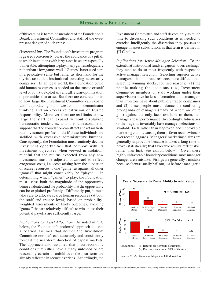of this catalog is to remind members of the Foundation's Board, Investment Committee, and staff of the everpresent danger of such traps:

*Overreaching.* The Foundation's investment program is geared consciously toward the avoidance of a pitfall to which institutions with large asset bases are especially vulnerable: attempting to play many games adequately rather than a few games well. "Games" is not used here in a pejorative sense but rather as shorthand for the myriad tasks that institutional investing necessarily comprises. In an ideal world, the Foundation could add human resources as needed (at the trustee or staff level or both) to exploit any and all return-optimization opportunities that arise. But there are concrete limits to how large the Investment Committee can expand without producing both lowest common denominator thinking and an excessive diffusion of trustee responsibility. Moreover, there are real limits to how large the staff can expand without displaying bureaucratic tendencies, and it is unreasonable to suppose that the Foundation can attract and retain firstrate investment professionals if these individuals are saddled with excessive administrative burdens. Consequently, the Foundation must routinely decline investment opportunities that comport with its investment objectives when viewed in isolation, mindful that the returns expected from any new investment must be adjusted downward to reflect exogenous costs, i.e., costs arising from the allocation of scarce resources to one "game" as against all other "games" that might conceivably be "played." In determining which "games" to play, the Foundation must assess both the magnitude of the opportunity being evaluated and the probability that the opportunity can be exploited profitably. Differently put, it must take care to allocate scarce human resources (at both the staff and trustee level) based on probabilityweighted assessments of likely outcomes, avoiding "games" that are relatively difficult to win unless their potential payoffs are sufficiently large.

*Implications for Asset Allocation.* As noted in §I.C below, the Foundation's preferred approach to asset allocation assumes that neither the Investment Committee nor staff can accurately and consistently forecast the near-term direction of capital markets. The approach also assumes that macroeconomic conditions that either have already unfolded or are reasonably certain to unfold over the near term are already reflected in securities prices. Accordingly, the Investment Committee and staff devote only as much time to discussing such conditions as is needed to exercise intelligently the discretion they possess to engage in asset substitution, as that term is defined in §II.C below.

*Implications for Active Manager Selection.* To the extent that institutional funds engage in "overreaching," they tend to do so most frequently with respect to active manager selection. Selecting superior active managers is in important respects more difficult than selecting winning stocks, for two reasons: (1) the people making the decisions (i.e., Investment Committee members or staff working under their supervision) have far less information about managers than investors have about publicly traded companies and (2) these people must balance the conflicting propaganda of managers (many of whom are quite glib) against the only facts available to them, i.e., managers' past performance. Accordingly, fiduciaries or their agents invariably base manager selections on available facts rather than unproven and unprovable marketing claims, causing them to favor recent winners over recent laggards. Managers' marketing claims are generally unprovable because it takes a long time to prove (statistically) that favorable results reflect skill rather than luck (see exhibit below). Given these highly unfavorable boundary conditions, most manager changes are a mistake. Firings are generally a mistake because clients usually bail out just before a manager's

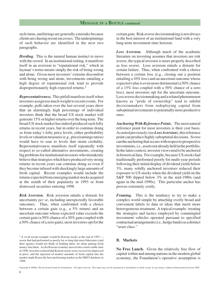style turns, and hirings are generally a mistake because clients are chasing recent successes. The underpinnings of such behavior are identified in the next two paragraphs.

*Herding.* This is the natural human instinct to move with the crowd. In an institutional setting, it manifests itself in an aversion to "reputational risk," which in layman's terms means simply the risk of being wrong and alone. Given most investors' extreme discomfort with being wrong and alone, investments entailing a high degree of reputational risk tend to provide disproportionately high expected returns.2

*Representativeness.* This pitfall manifests itself when investors assign too much weight to recent events. For example, polls taken over the last several years show that an alarmingly high percentage of individual investors think that the broad US stock market will generate 15% or higher returns over the long term. The broad US stock market has indeed produced such lofty returns in recent years, but in order to continue doing so from today's lofty price levels, either profitability levels or valuation measures (e.g., price/earnings ratios) would have to soar to levels that strain credulity. Representativeness manifests itself repeatedly with respect to so-called alternative investments, creating big problems for institutional investors who mistakenly believe that strategies which have produced very strong returns in recent years can continue doing so even if they become infused with shockingly large amounts of fresh capital. Recent examples would include the returns expected from emerging market stocks acquired at the zenith of their popularity in 1993 or from distressed securities entering 1998.

*Risk Aversion.* Risk aversion entails a distaste for uncertainty *per se*, including unexpectedly favorable outcomes. Thus, when confronted with a choice between a certain gain (e.g., a 5% return) and an uncertain outcome whose expected value exceeds the certain gain (a 50% chance of a 30% gain coupled with a 50% chance of a zero gain), most investors opt for the

<sup>2</sup> A vivid recent example would be Korean stocks at the end of 1997 assets that had performed so poorly for so long that most fiduciaries (and their agents) would not think of holding them, let alone putting fresh money into them. As the Korean economy moved into a more stable state in 1998, investors realized that Korean stocks were excessively depressed in price, and the injection of modest amounts of fresh capital into the market made Korea the best-performing market in the MSCI database in 1998.

certain gain. Risk averse decisionmaking is not always in the best interest of an institutional fund with a very long-term investment time horizon.

*Loss Aversion.* Although much of the academic literature on investing assumes that investors are risk averse, the typical investor is more properly described as loss averse. Loss aversion entails a distaste for certain failure. Thus, when confronted with a choice between a certain loss (e.g., closing out a position entailing a 10% loss) and an uncertain outcome whose expected value is even more detrimental (a 50% chance of a 15% loss coupled with a 50% chance of a zero loss), most investors opt for the uncertain outcome. Loss averse decisionmaking and a related phenomenon known as "pride of ownership" tend to inhibit decisionmakers from redeploying capital from suboptimal investments to potentially more productive ones.

*Anchoring With Reference Points.* The most natural reference point for most investors is their cost basis. As noted previously (see *Loss Aversion*), this reference point can produce highly suboptimal decisions. So too can the anchoring that occurs with respect to prospective investments, i.e., assets not already held in the portfolio. In the latter context, investor views tend to be anchored in historical data. For example, because US stocks had traditionally performed poorly for multi-year periods following their initial display of dividend yields below 3%, many solidly anchored investors reduced their exposure to US stocks when the dividend yield on the S&P 500 dipped below 3% in the mid-1980s (and again in the mid-1990s). This particular anchor has proven extremely costly.

*Framing.* This is the tendency to try to make a complex world simple by attaching overly broad and convenient labels to data or ideas that merit more heterogeneous treatment. A topical example: treating the strategies and tactics employed by commingled investment vehicles operated pursuant to specified contractual arrangements (i.e., hedge funds) as a distinct "asset class."

#### **B. Markets**

**No Free Lunch.** Given the relatively free flow of capital within and among nations in the modern global economy, the Foundation's operative assumption is

Copyright © 2000by The Investment Fund for Foundations. All rights reserved. This report may not be reproduced or distributed, in whole or part, by any means, without written permission from TIFF.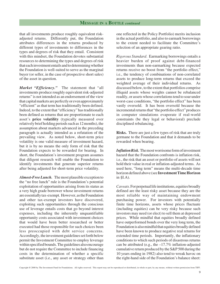that all investments produce roughly equivalent riskadjusted returns. Differently put, the Foundation attributes differences in the returns produced by different types of investments to differences in the types and degrees of risk that they entail. Consistent with this mindset, the Foundation devotes substantial resources to determining the types and degrees of risk that each investment entails and to determining whether the Foundation is well-suited to serve as the marginal buyer (or seller, in the case of prospective short sales) of the asset in question.

*Market "Efficiency."* The statement that "all investments produce roughly equivalent risk-adjusted returns" is not intended as an endorsement of the view that capital markets are perfectly or even approximately "efficient" as that term has traditionally been defined. Indeed, to the extent that "efficiency" has traditionally been defined as returns that are proportionate to each asset's **price volatility** (typically measured over relatively brief holding periods such as 12 months), the assumption about markets advanced in the preceding paragraph is actually intended as a refutation of the prevailing view. As noted below, short-term price volatility is one valid measure of investment hazard, but it is by no means the only form of risk that the Foundation expects to be rewarded for bearing. In short, the Foundation's investment program assumes that diligent research will enable the Foundation to identify investments that generate superior returns after being adjusted for short-term price volatility.

*Almost-Free Lunch.* The most plausible exception to the "no free lunch" rule is the Foundation's potential exploitation of opportunities arising from its status as a very high grade borrower whose investment returns are essentially tax-exempt. However, as the Foundation and other tax-exempt investors have discovered, exploiting such opportunities through the conscious use of leverage entails costs that go beyond interest expenses, including the inherently unquantifiable opportunity costs associated with investment choices that would have been better researched or better executed had those responsible for such choices been less preoccupied with debt service concerns. Accordingly, the investment guidelines set forth below permit the Investment Committee to employ leverage within specified bounds.The guidelines also encourage but do not require the Committee to include financing costs in the determination of whether a specific substitute asset (i.e., any asset or strategy other than one reflected in the Policy Portfolio) merits inclusion in the actual portfolio, and also to earmark borrowings to the extent needed to facilitate the Committee's selection of an appropriate gearing ratio.

*Rigorous Standard.* Earmarking borrowings entails a heavier burden of proof against debt-financed investments than non-earmarking because expected returns receive no boost from "the portfolio effect," i.e., the tendency of combinations of non-correlated assets to produce long-term returns that exceed the weighted average of their individual returns. As discussed below, to the extent that portfolios comprise illiquid assets whose weights cannot be rebalanced readily, or assets whose correlations tend to soar under worst-case conditions, "the portfolio effect" has been vastly oversold. It has been oversold because the incremental returns that "the portfolio effect" produces in computer simulations evaporate if real-world constraints (be they legal or behavioral) preclude disciplined rebalancing.

**Risks.** There are just a few types of risk that are truly germane to the Foundation and that it demands to be rewarded when bearing.

*Inflation Risk.* The most worrisome form of investment hazard that the Foundation confronts is inflation risk, i.e., the risk that an asset or portfolio of assets will not hold their value in real or inflation-adjusted terms. As used here, "long term" means the multi-decade time horizon defined above (see **Investment Time Horizon** in §I.A).

*Caveats.* For perpetual life institutions, equities broadly defined are the least risky asset because they are the most reliable way of maintaining endowment purchasing power. For investors with potentially finite time horizons, assets whose prices fluctuate (including equities) can be very risky because such investors may need (or elect) to sell them at depressed prices. While mindful that equities broadly defined have outperformed bonds over the very long term, the Foundation is also mindful that equities broadly defined have been known to produce negative real returns for extended time periods. Importantly, the inflationary conditions to which such periods of disastrous returns can be attributed (e.g., the  $-17.7\%$  inflation-adjusted cumulative return produced by the S&P 500 during the 10 years ending in 1982) also tend to wreak havoc on the right-hand side of the Foundation's balance sheet: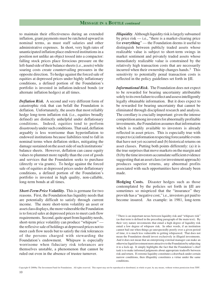to maintain their effectiveness during an extended inflation, grant payments must be ratcheted upward in nominal terms, as must staff salaries and other administrative expenses. In short, very high rates of unanticipated inflation place endowed institutions in a position not unlike an object tossed into a compactor: falling stock prices place ferocious pressure on the left-hand side of their balance sheets (i.e., assets) while soaring costs create countervailing pressures in the opposite direction. To hedge against the forced sale of equities at depressed prices under highly inflationary conditions, a defined portion of the Foundation's portfolio is invested in inflation-indexed bonds (or alternate inflation hedges) at all times.

*Deflation Risk.* A second and very different form of catastrophic risk that can befall the Foundation is deflation. Unfortunately, the assets that most reliably hedge long-term inflation risk (i.e., equities broadly defined) are distinctly unhelpful under deflationary conditions. Indeed, equities tend to perform disastrously under such conditions. That said, deflation arguably is less worrisome than hyperinflation to endowed institutions because liabilities tend to fall in nominal terms when deflation strikes, mitigating the damage sustained on the asset side of such institutions' balance sheets. However, deflation can cause equity values to plummet more rapidly than the cost of goods and services that the Foundation seeks to purchase (directly or via grants). To hedge against the forced sale of equities at depressed prices under deflationary conditions, a defined portion of the Foundation's portfolio is invested in high quality, non-callable, long-term bonds at all times.

*Short-Term Price Volatility.* This is germane for two reasons. First, the Foundation has liquidity needs that are potentially difficult to satisfy through current income. The more short-term volatility an asset or asset class displays, the more vulnerable the Foundation is to forced sales at depressed prices to meet cash flow requirements. Second, quite apart from liquidity needs, short-term price volatility can produce "whipsaw" the reflexive sale of holdings at depressed prices not to meet cash flow needs but to satisfy the risk tolerances of the persons charged with stewarding the Foundation's endowment. Whipsaw is especially worrisome when fiduciary risk tolerances are themselves unstable, a phenomenon that cannot be ruled out even in the absence of trustee turnover.

*Illiquidity.* Although liquidity risk is largely subsumed by price risk — i.e., "there is a market-clearing price for **everything**" — the Foundation deems it useful to distinguish between publicly traded assets whose realizable value is subject to short-term swings in market sentiment and privately traded assets whose immediately realizable value is constrained by the relatively high transaction costs that are necessarily incurred when their ownership changes hands. $3$  This sensitivity to potentially penal transaction costs is reflected in the policy guidelines set forth in §II.

*Informational Risk.* The Foundation does not expect to be rewarded for bearing uncertainty attributable solely to its own failure to collect and assess intelligently legally obtainable information. But it does expect to be rewarded for bearing uncertainty that cannot be eliminated through disciplined research and analysis. The corollary is crucially important: given the intense competition among investors for abnormally profitable investments, the Foundation assumes that information which is readily available to investors is already reflected in asset prices. This is especially true with respect to (a) information respecting forecastable events that have not yet occurred and (b) historical returns on asset classes. Putting both points differently: (a) it is the true surprises that move markets on the margin and (b) by the time investors accumulate sufficient evidence suggesting that an asset class (or investment approach) produces superior returns, any abnormal profits associated with such opportunities have already been made.

**Hedging Costs.** Disaster hedges such as those contemplated by the policies set forth in §II are sometimes so mispriced that the "insurance" they provide has a "negative cost," i.e., investors get paid to become insured. An example: in 1981, long-term

<sup>3</sup> There is an important nexus between liquidity risk and "whipsaw risk" (as that term is defined in the preceding paragraph of the main text). By their very nature investments that entail a high degree of liquidity risk entail a low degree of whipsaw risk. In other words, if an institution cannot bail out when things go unexpectedly poorly over a given period of time, it is much less vulnerable to getting whipsawed. That does not mean the Foundation should invest exclusively in illiquid investments. And it does not mean that an enterprising external manager can make an otherwise liquid investment more attractive to the Foundation by subjecting it to a lock-up. It simply highlights the fact that the Foundation's chief task is to make informed judgments about appropriate tradeoffs between risk and return. If extreme liquidity constitutes a drawback under certain narrow conditions, then illiquidity constitutes a virtue under the same conditions.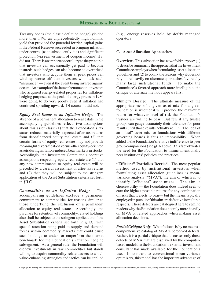Treasury bonds (the classic deflation hedge) yielded more than 14%, an unprecedentedly high nominal yield that provided the potential for rich capital gains if the Federal Reserve succeeded in bringing inflation under control (as it subsequently did) and significant protection (via reinvestment of coupon income) if it did not. There is an important corollary to the principle that investors can occasionally get paid to become insured: such hedges can also become so overpriced that investors who acquire them at peak prices can wind up worse off than investors who lack such "insurance" — even if the event being insured against occurs. An example of the latter phenomenon: investors who acquired energy-related properties for inflationhedging purposes at the peak of energy prices in 1980 were going to do very poorly even if inflation had continued spiraling upward. Of course, it did not.

*Equity Real Estate as an Inflation Hedge.* The absence of a permanent allocation to real estate in the accompanying guidelines reflects two assumptions about this asset class: (1) that the Foundation's tax status reduces materially expected after-tax returns from debt-financed equity real estate and (2) that certain forms of equity real estate may not provide meaningful diversification versus other equity-oriented assets during inflation-induced bear markets in stocks. Accordingly, the Investment Committee's operative assumptions respecting equity real estate are (1) that any new commitments to equity real estate will be preceded by a careful assessment of after-tax returns and (2) that they will be subject to the stringent application of the Asset Substitution criteria set forth in §II.C.

*Commodities as an Inflation Hedge.* The accompanying guidelines exclude a permanent commitment to commodities for reasons similar to those underlying the exclusion of a permanent allocation to equity real estate.Accordingly, the purchase (or retention) of commodity-related holdings also shall be subject to the stringent application of the Asset Substitution criteria set forth in §II.C, with special attention being paid to supply and demand forces within commodity markets that could cause such holdings to under- or outperform the market benchmark for the Foundation's inflation hedging subsegment. As a general rule, the Foundation will eschew investments in raw commodities but stands willing to acquire commodity-related assets to which value-enhancing strategies and tactics can be applied (e.g., energy reserves held by deftly managed operators).

#### **C. Asset Allocation Approaches**

**Overview.** This subsection has a twofold purpose: (1) to describe summarily the approach that the Investment Committee employs when formulating asset allocation guidelines and (2) to codify the reasons why it does not rely more heavily on alternate approaches favored by many large institutional funds. To make the Committee's favored approach more intelligible, the critique of alternate methods appears first.

**Mimicry Decried.** The ultimate measure of the appropriateness of a given asset mix for a given foundation is whether it will produce the maximum return for whatever level of risk the Foundation's trustees are willing to bear. But few if any trustee groups can gauge accurately their tolerance for poor results until those results actually roll in. The idea of an "ideal" asset mix for foundations with different governing boards is thus an impossibility. When added to the Foundation's relative indifference to peer group comparisons (see §I.A above), this fact obviates the need for the Foundation to mimic intentionally peer institutions' policies and practices.

**"Efficient" Portfolios Decried.** The most popular method used by institutional investors when formulating asset allocation guidelines is meanvariance analysis ("MVA"), the aim of which is to identify "efficient" asset mixes. The aim is choiceworthy — the Foundation does indeed seek to earn the highest possible returns for any combination of risks that it elects to bear— but the means typically employed in pursuit of this aim are defective in multiple respects. These defects are catalogued here to remind readers why the Foundation does not rely more heavily on MVA or related approaches when making asset allocation decisions.

*Partial Critique Only.* What follows is by no means a comprehensive catalog of MVA's perceived defects. Rather, it is a partial critique that discusses only those defects of MVA that are displayed by the computerbased model that the Foundation's external investment consultant has made available for the Foundation's use. In contrast to conventional mean-variance optimizers, this model has the important advantage of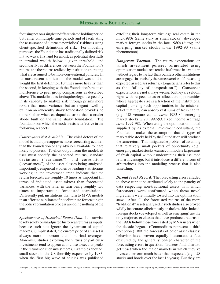focusing not on a single undifferentiated holding period but rather on multiple time periods and of facilitating the assessment of alternate portfolios' riskiness using client-specified definitions of risk. For modeling purposes, the Foundation has traditionally defined risk in two ways: first and foremost, as potential shortfalls in terminal wealth below a given threshold; and secondarily, as differences between the Foundation's returns and the returns realized by institutions pursuing what are assumed to be more conventional policies. In its most recent application, the model was told to weight the first definition 10 times more heavily than the second, in keeping with the Foundation's relative indifference to peer group comparisons as described above. The model in question is quite elegant, especially in its capacity to analyze risk through prisms more robust than mean-variance, but an elegant dwelling built on an inherently shaky foundation provides no more shelter when earthquakes strike than a cruder abode built on the same shaky foundation. The foundation on which the model rests is defective in the following respects:

*Clairvoyants Not Available.* The chief defect of the model is that it presupposes more forecasting acumen than the Foundation or any advisors available to it are likely to possess. To elicit output from the model, its user must specify the expected returns, standard deviations ("variances"), and correlations ("covariances") of the asset classes being analyzed. Importantly, empirical studies by leading statisticians working in the investment arena indicate that the return forecasts are roughly 10 times as important (in terms of indicated asset mixes) than forecasted variances, with the latter in turn being roughly two times as important as forecasted correlations. Differently put, institutions that turn to MVA models in an effort to sublimate if not eliminate forecasting in the policy formulation process are doing nothing of the sort.

*Speciousness of Historical Return Data.* It is unwise to rely solely on unadjusted historical returns as inputs, because such data ignore the dynamism of capital markets. Simply stated, the current price of an asset is always more important than historical averages. Moreover, studies extolling the virtues of particular investments tend to appear at or close to secular peaks in the returns on such investments. Examples abound: small stocks in the US (horribly expensive by 1983, when the first big wave of studies was published extolling their long-term virtues); real estate in the mid-1980s (same story as small stocks); developed market foreign stocks in the late 1980s (ditto); and emerging market stocks *circa* 1992-93 (same phenomenon).

*Dangerous Vacuum.* The return expectations on which investment policies formulated using optimization models rest tend to be formed in a vacuum without regard to the fact that countless other institutions are engaged in precisely the same exercise of forecasting expected asset class returns. (Logisticians refer to this as the "fallacy of composition.") Consensus expectations are not always wrong, but they are seldom right with respect to asset allocation opportunities whose aggregate size is a fraction of the institutional capital pursuing such opportunities in the mistaken belief that they can absorb vast sums of fresh capital (e.g., US venture capital *circa* 1983-84, emerging market stocks *circa* 1992-93, fixed income arbitrage *circa* 1997-98). When using the optimization model supplied by its external investment consultant, the Foundation makes the assumption that all types of marketable stocks held by the Foundation will produce the same return. This mitigates the problem of assuming that relatively small pockets of opportunity (e.g., emerging market stocks) can accommodate large sums of fresh capital without undermining their assumed return advantage, but it introduces a different form of arbitrariness into the modeling process that is also unsettling.

*Dismal Track Record.* The forecasting errors alluded to above cannot be attributed solely to the paucity of data respecting non-traditional assets with which forecasters were confronted when these novel ingredients were initially tossed into the optimization stew. After all, the forecasted returns of the more "traditional" assets analyzed in such studies also proved wildly inaccurate, albeit mostly on the low side. Indeed, foreign stocks (developed as well as emerging) are the only major asset classes that have produced returns in the 1990s **below** those forecasted by MVA users when the decade began. (Commodities represent a third exception.) But the forecasts of other asset classes' behavior have proven equally inaccurate, a fact obscured by the generally benign character of the forecasting errors in question. Trustees find it hard to get upset when the major markets in which they've invested perform much better than expected (e.g., US stocks and bonds over the last 16 years). But they are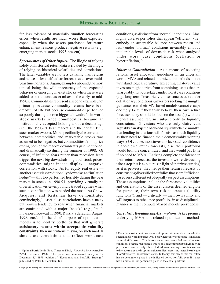far less tolerant of materially **smaller** forecasting errors when results are much worse than expected, especially when the assets purchased for return enhancement reasons produce negative returns (e.g., emerging market stocks 1993-present).

*Speciousness of Other Inputs.* The illogic of relying solely on historical return data is rivaled by the illogic of relying on historical volatilities and correlations. The latter variables are no less dynamic than returns and hence no less difficult to forecast, even over multiyear time horizons. Again, examples abound, the most topical being the wild inaccuracy of the expected behavior of emerging market stocks when these were added to institutional asset mixes in the early- to mid-1990s. Commodities represent a second example, not primarily because commodity returns have been dreadful of late but because commodities performed so poorly during the two biggest downdrafts in world stock markets since commodities became an institutionally accepted holding about a decade ago (i.e., the 1990-91 bear market and the briefer 1998 stock market swoon). More specifically, the correlation between commodities and marketable stocks was assumed to be negative, but commodities fell in price during both of the market downdrafts just mentioned, and dramatically so during the summer of 1998. Of course, if inflation fears rather than recession fears trigger the next big downdraft in global stock prices, commodities might indeed display a negative correlation with stocks. As for equity real estate another asset class traditionally viewed as an "inflation hedge" — this too performed horribly during the bear market in stocks in 1990-91, providing virtually no diversification vis-à-vis publicly traded equities when such diversification was needed the most. As Chow, Jacquier, and Kritzman have demonstrated convincingly,4 asset class correlations have a nasty but proven tendency to soar when financial markets are confronted with a major "shock" (e.g., Iraq's invasion of Kuwait in 1990, Russia's default in August 1998, etc.). If the chief purpose of optimization models is to identify portfolios that will generate satisfactory returns **within acceptable volatility constraints**, then institutions relying on such models should use correlations that reflect worst-case

conditions, as distinct from "normal" conditions. Alas, highly diverse portfolios that appear "efficient" (i.e., embody an acceptable balance between return and risk) under "normal" conditions invariably embody intolerable levels of downside risk when analyzed under worst case conditions (deflation or hyperinflation).<sup>5</sup>

*Inherent Contradiction.* As a means of selecting rational asset allocation guidelines in an uncertain world, MVA and related optimization methods do not withstand logical scrutiny. Excepting whatever value investors might derive from combining assets that are unarguably non-correlated under worst case conditions (e.g., long-term Treasuries vs. unseasoned stocks under deflationary conditions), investors seeking meaningful guidance from their MV-based models cannot escape one ugly fact: if they truly believe their own return forecasts, they should load up on the asset(s) with the highest assumed returns, subject only to liquidity constraints. (Investors who are truly clairvoyant arguably can skip the back-end liquidity check, mindful that lending institutions will furnish as much liquidity as they need to finance their demonstrably winning ways.) Of course, most investors lack such confidence in their own return forecasts, else their portfolios would be more concentrated, and they would pay little if no heed to MVA. Lacking complete confidence in their return forecasts, the investors we're discussing take a step that is as natural (in light of their insecurities) as it is perverse: they hedge their return forecasts by constructing diversified portfolios that seem "efficient" based on a different set of equally suspect assumptions. These assumptions include the forecasted volatilities and correlations of the asset classes deemed eligible for purchase, their own risk tolerances ("utility functions"), and — critically — their own ability and **willingness** to rebalance portfolios in as disciplined a manner as their computer-based models presuppose.

#### *Unrealistic Rebalancing Assumptions.* A key premise underlying MVA and related optimization methods

Copyright © 2000 by The Investment Fund for Foundations. All rights reserved. This report may not be reproduced or distributed, in whole or part, by any means, without written permission from TIFF.

<sup>4 &</sup>quot;Optimal Portfolios in Good Times and Bad," *Financial Economist*, No. 272-1, December 1998. This paper was summarized nicely in the December 15, 1998, edition of "Economics and Portfolio Strategy," published by Peter L. Bernstein, Inc.

<sup>&</sup>lt;sup>5</sup> Even the most ardent proponents of optimization models concede that such models work imperfectly at best when equity real estate is included as an eligible asset. This is true under even so-called normal market conditions because real estate is traded on a discontinuous basis, rendering price series insufficiently robust. Indeed, some leading consultants refuse to include real estate in optimization studies, preferring instead to relegate it to "alternative investment" status. In theory, this means that real estate has no **permanent** place in the indicated policy portfolio even if it does have a more or less permanent place in the actual portfolio.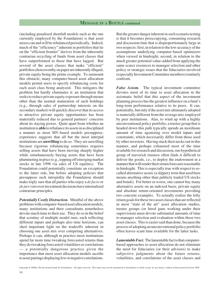(including penalized shortfall models such as the one currently employed by the Foundation) is that asset mixes can and will be rebalanced periodically. Indeed, much of the "efficiency" inherent in portfolios that lie on the "efficient frontier" derives from the inherently contrarian recycling of funds from asset classes that have outperformed to those that have lagged. But several of the asset classes that make "efficient" portfolios choiceworthy on paper are inherently illiquid, private equity being the prime example. To surmount this obstacle, many computer-based asset allocation models permit users to specify rebalancing costs for each asset class being analyzed. This mitigates the problem but hardly eliminates it: an institution that seeks to reduce private equity exposure through means other than the normal maturation of such holdings (e.g., through sales of partnership interests on the secondary market) will quickly discover that its access to attractive private equity opportunities has been materially reduced due to general partners' concerns about its staying power. Quite apart from whether an institution is **able** to rebalance its assets in as disciplined a manner as most MV-based models presuppose, experience suggests that all but the most intrepid institutions are **unwilling** to do so. They are unwilling because rigorous rebalancing sometimes requires selling assets that have been moving sharply higher while simultaneously buying assets that have been plummeting in price (e.g., topping off emerging market stocks in late 1998 via sales of US equities). The Foundation could potentially constitute an exception to the latter rule, but before adopting policies that presuppose such intrepidity the Foundation should make triply sure that all parties who enjoy a *de facto* or *de jure* veto over investment decisions have internalized contrarian principles.

*Potentially Costly Distraction.* Mindful of the above problems with computer-based asset allocation models, many institutions and their consultants nonetheless devote much time to their use. They do so in the belief that scrutiny of multiple model runs, each reflecting different inputs and perhaps also time horizons, can shed important light on the tradeoffs inherent in choosing one asset mix over competing alternatives. Perhaps it can, although in practice most institutions spend far more time tweaking forecasted returns than they do tweaking forecasted volatilities or correlations — a potentially dangerous practice given the importance that most asset allocation models ascribe to asset pairings displaying low or negative correlations.

But the greater danger inherent in such scenario testing is that it becomes preoccupying, consuming research and discussion time that is disproportionately large in two respects: first, in relation to the low accuracy of the assumptions underlying computer-based optimizers when viewed in hindsight; second, in relation to the much greater potential value-added from applying the same scarce resources to manager selection and other policy or strategic issues that the fiduciaries involved (especially Investment Committee members) routinely confront.

*False Axiom.* The typical investment committee devotes most of its time to asset allocation in the axiomatic belief that this aspect of the investment planning process has the greatest influence on a fund's long-term performance relative to its peers. It can, potentially, but only if the asset mix ultimately adopted is materially different from the average mix employed by peer institutions. Alas, to wind up with a highly unconventional policy portfolio, a trustee group that is headed down this path typically spends an inordinate amount of time agonizing over model inputs and constraints, which necessarily differ from those used by other investors. Having stuck their necks out in this manner, and perhaps exhausted most of the time available for research and discussion, our hypothetical group of maverick trustees often finds it difficult to deliver the goods, i.e., to deploy the endowment in a manner that will render their return forecasts reasonable in hindsight. This is especially true with respect to socalled alternative assets (a slippery term that used here means anything other than publicly traded US stocks and bonds). For better or worse, one cannot buy many alternative assets on an indexed basis, private equity and absolute return-oriented investments providing two concrete examples. To actually realize the lofty return goals for these two asset classes that are reflected in most "state of the art" asset allocation studies, trustee groups (or hired guns working under their supervision) must devote substantial amounts of time to manager selection and evaluation within these two asset classes. This is easier said than done, because the process of adopting an unconventional policy portfolio often leaves scant time available for the latter tasks.

*Lamentable Fact.* The lamentable fact is that computerbased approaches to asset allocation do not eliminate the need for fiduciaries (or their advisors) to make subjective judgments about the future returns, volatilities, and correlations of the asset classes and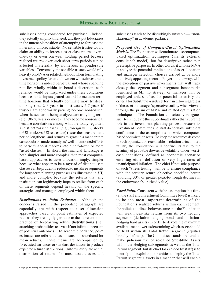subclasses being considered for purchase. Indeed, they actually amplify this need, and they put fiduciaries in the untenable position of attempting to forecast the inherently unforecastable. No sensible trustee would claim an ability to forecast asset class returns over a one-day or even one-year holding period because realized returns over such short-term periods can be affected materially by numerous imponderable variables. Conversely, no sensible trustee would rely heavily on MVA or related methods when formulating investment policy for an endowment whose investment time horizon is indeed perpetual and whose spending rate lies wholly within its board's discretion: such reliance would be misplaced under these conditions because model inputs geared toward the medium-term time horizons that actually dominate most trustees' thinking (i.e., 2–3 years in most cases, 5-7 years if trustees are abnormally patient) become nonsensical when the scenarios being analyzed are truly long term (e.g., 30-50 years or more). They become nonsensical because correlations among what are today regarded as distinct "asset classes" (e.g., foreign vs. US stocks or US stocks vs. US real estate) rise as the measurement period lengthens, and returns migrate in a manner that casts doubt on modern analysts' well-intentioned efforts to parse financial markets into a half-dozen or more "asset classes." In short, the financial landscape is both simpler and more complex than most computerbased approaches to asset allocation imply: simpler because what appear to be a myriad of distinct asset classes can be prudently reduced to just three segments for long-term planning purposes (as illustrated in §II) and more complex because the returns that any institution can legitimately hope to realize from each of these segments depend heavily on the specific strategies and managers employed within them.

*Distributions vs. Point Estimates.* Although the concerns raised in the preceding paragraph are especially apt with respect to asset allocation approaches based on point estimates of expected returns, they are highly germane to the more common practice of forecasting return **distributions** (i.e., attaching probabilities to a vast if not infinite spectrum of potential outcomes). In academic parlance, point estimates are referred to as "means" — shorthand for mean returns. These means are accompanied by forecasted variances or standard deviations to produce expected return distributions. Unfortunately, the actual distribution of returns for most asset classes and subclasses tends to be disturbingly unstable — "nonstationary" in academic parlance.

*Proposed Use of Computer-Based Optimization Models.* The Foundation will continue to use computerbased optimization techniques (via its external consultant's model), but for descriptive rather than prescriptive purposes. In other words, it will use MVA to analyze the potential implications of asset allocation and manager selection choices arrived at by more intuitively appealing means. Put yet another way, with the exception of passive investments that will track closely the segment and subsegment benchmarks identified in §II, no strategy or manager will be employed unless it has the potential to satisfy the criteria for Substitute Assets set forth in §II — regardless of the asset or manager's perceived utility when viewed through the prism of MVA and related optimization techniques. The Foundation consciously relegates such techniques to this subordinate rather than supreme role in the investment planning process because its Investment Committee and staff do not have sufficient confidence in the assumptions on which computerbased optimization rests. To keep the resources devoted to such optimization reasonable in relation to its limited utility, the Foundation will confine its use to the scrutiny of probable downside volatility under worstcase conditions, defined as economic scenarios entailing either deflation or very high rates of unanticipated inflation. The chief if not sole purpose of such "stress testing" will be to ensure compliance with the tertiary return objective specified herein (avoiding 30% or greater peak-to-trough declines in the endowment's unitized value).

*Focal Point.* Consistent with the assumption that **time** (at the staff and Investment Committee level) is likely to be the most important determinant of the Foundation's realized returns within each segment, the policies outlined below assume that the Foundation will seek index-like returns from its two hedging segments (deflation-hedging bonds and inflationhedging hard assets) in order to devote the maximum available manpower to determining which assets should be held within its Total Return segment (equities broadly defined). The Committee stands prepared to make judicious use of so-called Substitute Assets within the Hedging subsegments as well as the Total Return segment, but its chief task (aided by staff) is to identify and exploit opportunities to deploy the Total Return segment's assets in a manner that will enable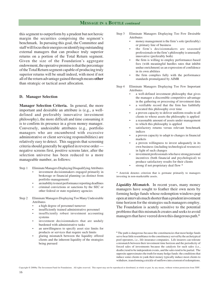this segment to outperform by a prudent but not heroic margin the securities comprising the segment's benchmark. In pursuing this goal, the Committee and staff will focus their energies on identifying outstanding external managers that can produce truly superior returns on a portion of the Total Return segment. Given the size of the Foundation's aggregate endowment, the operative premise is that the percentage of the Total Return segment capable of producing truly superior returns will be small indeed, with most if not all of the return advantage gained through means **other** than strategic or tactical asset allocation.

#### **D. Manager Selection**

**Manager Selection Criteria.** In general, the more important and desirable an attribute is (e.g., a welldefined and preferably innovative investment philosophy), the more difficult and time consuming it is to confirm its presence in a given money manager. Conversely, undesirable attributes (e.g., portfolio managers who are encumbered with excessive administrative or client servicing responsibilities) are relatively easy to detect. This suggests that screening criteria should generally be applied in reverse order negative screens first, positive screens later, after the selection universe has been reduced to a more manageable number, as follows:

- Step 1 Eliminate Managers Displaying Disqualifying Attributes
	- investment decisionmakers engaged primarily in brokerage or financial planning (as distinct from portfolio management)
	- an inability to meet performance reporting deadlines
	- criminal convictions or sanctions by the SEC or other federal or state regulatory agencies
- Step 2 Eliminate Managers Displaying Too Many Undesirable Attributes
	- a high degree of personnel turnover
	- insufficiently trained administrative personnel
	- insufficiently robust investment accounting systems
	- investment decisionmakers that are unduly burdened with administrative tasks
	- an unwillingness to specify asset size limits for products or services that require such limits
	- glaring mismatch between the liquidity offered clients and the inherent liquidity of the strategies being pursued
- Step 3 Eliminate Managers Displaying Too Few Desirable Attributes
	- money management is the firm's sole (preferably) or primary line of business
	- the firm's decisionmakers are seasoned professionals or the firm's philosophy is unusually innovative (preferably both)
	- the firm is willing to employ performance-based fees (with meaningful hurdles rates that inhibit undue enrichment) as an expression of confidence in its own abilities
	- the firm complies fully with the performance standards promulgated by AIMR
- Step 4 Eliminate Managers Displaying Too Few Important Attributes
	- a well-defined investment philosophy that gives the manager a discernible competitive advantage in the gathering or processing of investment data
	- a verifiable record that the firm has faithfully executed this philosophy over time
	- a proven capacity to deliver uniform results to all clients to whose assets the philosophy is applied
	- a reasonable amount of assets under management to which this philosophy is applied
	- satisfactory returns versus relevant benchmark indices
	- a proven capacity to adapt to changes in financial markets
	- a proven willingness to invest adequately in its own business (including technological resources) in light of such changes
	- investment professionals who have strong personal incentives (both financial and psychological) to produce satisfactory results for their clients
	- strong if not proprietary deal flow \*

\* Asterisk denotes criterion that is germane primarily to managers investing in non-marketable assets.

*Liquidity Mismatch.* In recent years, many money managers have sought to feather their own nests by forming hedge funds whose redemption windows pop open at intervals much shorter than a prudent investment time horizon for the strategies such managers employ. The Foundation is acutely sensitive to the potential problems that this mismatch creates and seeks to avoid managers that have veered down this dangerous path.<sup>6</sup>

Copyright © 2000by The Investment Fund for Foundations. All rights reserved. This report may not be reproduced or distributed, in whole or part, by any means, without written permission from TIFF.

<sup>6</sup> The path is dangerous because the constituencies that most hedge funds serve bear little resemblance to the constituency served by the archetypical pool operators, i.e., life insurance companies. Life insurers can tolerate a mismatch between their investment time horizon and the periodicity of forced sales of investments because the catalysts for such sales (i.e., deaths) tend to be independent events, and the sales tend to be partial. The opposite approximates the truth for many hedge funds: the conditions that induce some clients to yank their money typically induce most clients to withdraw, transforming a trickle of outflows into a torrent of redemptions.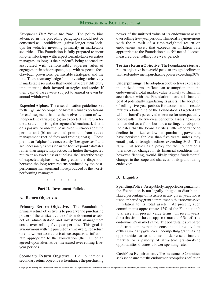*Exceptions That Prove the Rule.* The policy bias advanced in the preceding paragraph should not be construed as a prohibition against longer-term lockups for vehicles investing primarily in marketable securities. The Foundation is fully prepared to incur long-term lock-ups with respect to marketable securities managers, as long as the handcuffs being adorned are associated with demonstrably superior rules of engagement in other respects, e.g., with respect to fees, clawback provisions, permissible strategies, and the like. There are many hedge funds investing exclusively in marketable securities that would have great difficulty implementing their favored strategies and tactics if their capital bases were subject to annual or even biannual withdrawals.

**Expected Alphas.** The asset allocation guidelines set forth in §II are accompanied by real return expectations for each segment that are themselves the sum of two independent variables: (a) an expected real return for the assets comprising the segment's benchmark if held on a passive or indexed basis over multi-decade time periods and (b) an assumed premium from active management (net of fees and trading costs). These premia or "alphas" are necessarily "best guesses," and are necessarily expressed in the form of point estimates rather than ranges. In practice, the higher the expected return on an asset class or subclass, the larger the range of expected alphas, i.e., the greater the dispersion between the long-term returns produced by the bestperforming managers and those produced by the worstperforming managers.

\* \* \* \* \*

#### **Part II. Investment Policies**

#### **A. Return Objectives**

**Primary Return Objective.** The Foundation's primary return objective is to preserve the purchasing power of the unitized value of its endowment assets, net of administration and investment management costs, over rolling five-year periods. This goal is synonymous with the pursuit of a time-weighted return on endowment assets that is at least equal to an inflation rate appropriate to the Foundation (the CPI or an agreed-upon alternative) measured over rolling fiveyear periods.

**Secondary Return Objective.** The Foundation's secondary return objective is to enhance the purchasing power of the unitized value of its endowment assets over rolling five-year periods. This goal is synonymous with the pursuit of a time-weighted return on endowment assets that exceeds an inflation rate appropriate to the Foundation plus 5% net of all costs, measured over rolling five-year periods.

**Tertiary Return Objective.** The Foundation's tertiary return objective is to avoid peak-to-trough declines in unitized endowment purchasing power exceeding 30%.

**Underpinnings.** The adoption of objectives expressed in unitized terms reflects an assumption that the endowment's total market value is likely to shrink in accordance with the Foundation's overall financial goal of potentially liquidating its assets. The adoption of rolling five-year periods for assessment of results reflects a balancing of the Foundation's targeted life with its board's perceived tolerance for unexpectedly poor results. The five-year period for assessing results is intended as a floor but not a ceiling: its adoption indicates that the board ascribes little importance to declines in unitized endowment purchasing power that have persisted for less than five years, unless they entail peak-to-trough declines exceeding 30%. The 30% limit serves as a proxy for the Foundation's tolerance for changes in its financial condition that, however fleeting, would likely trigger fundamental changes in the scope and character of its grantmaking endeavors.

#### **B. Liquidity**

**Spending Policy.** As a publicly supported organization, the Foundation is not legally obliged to distribute a stated percentage of its assets in any given year, nor is it encumbered by grant commitments that are excessive in relation to its total assets. At present, such commitments approximate 12% of the Foundation's total assets in present value terms. In recent years, distributions have approximated 6% of the endowment's market value. The board stands prepared to distribute more than the constant dollar equivalent of this sum in any given year if compelling grantmaking opportunities arise and less if depressed financial markets or a paucity of attractive grantmaking opportunities dictates a lower spending rate.

**Cash Flow Requirements.** The Investment Committee seeks to ensure that the endowment comprises deflation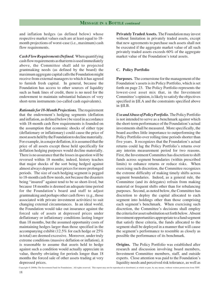and inflation hedges (as defined below) whose respective market values each are at least equal to 18 month projections of worst-case (i.e., maximum) cash flow requirements.

*Cash Flow Requirements Defined.* When quantifying cash flow requirements as that term is used immediately above, the Committee shall add to projected grantmaking needs (as defined by the board) the maximum aggregate capital calls the Foundation might receive from external managers to which it has agreed to furnish fresh capital. In general, because the Foundation has access to other sources of liquidity such as bank lines of credit, there is no need for the endowment to maintain substantial balances of very short-term instruments (so-called cash equivalents).

*Rationale for 18-Month Projections.* The requirement that the endowment's hedging segments (deflation and inflation, as defined below) be sized in accordance with 18-month cash flow requirements is founded on the assumption that economic shocks of either type (deflationary or inflationary) could cause the price of most assets held by the Foundation to decline materially. For example, in a major deflation, it is assumed that the price of all assets except those held specifically for deflation hedging purposes would decline materially. There is no assurance that the losses in question will be reversed within 18 months; indeed, history teaches that major shocks of the sort being hedged against almost always depress asset prices for more prolonged periods. The size of each hedging segment is pegged to 18-month cash flow needs, not because the disasters being "insured" against tend to be so short-lived, but because 18 months is deemed an adequate time period for the Foundation's board and staff to adjust grantmaking and perhaps other cash flows (e.g., those associated with private investment activities) to suit changing external circumstances. In an ideal world, the Foundation would take out insurance against the forced sale of assets at depressed prices under deflationary or inflationary conditions lasting longer than 18 months, but the assumed opportunity costs of maintaining hedges larger than those specified in the accompanying exhibit (12.5% for each hedge or 25% in total) are deemed excessive. Moreover, under truly extreme conditions (massive deflation or inflation), it is reasonable to assume that assets held to hedge against such a condition would actually appreciate in value, thereby obviating for periods longer than 18 months the forced sale of other assets trading at very depressed prices.

**Privately Traded Assets.** The Foundation may invest without limitation in privately traded assets, except that new agreements to purchase such assets shall not be executed if the aggregate market value of all such privately traded assets exceeds 60% of the aggregate market value of the Foundation's total assets.

#### **C. Policy Portfolio**

**Purposes***.* The cornerstone for the management of the Foundation's assets is its Policy Portfolio, which is set forth on page 23. The Policy Portfolio represents the lowest-cost asset mix that, in the Investment Committee's opinion, is likely to satisfy the objectives specified in §II.A and the constraints specified above in §II.B.

*Use and Abuse of Policy Portfolio.* The Policy Portfolio is not intended to serve as a benchmark against which the short-term performance of the Foundation's actual investments shall be measured. More specifically, the board ascribes little importance to outperforming the Policy Portfolio over rolling time periods shorter than five years. It recognizes that the Foundation's actual returns could lag the Policy Portfolio's returns over any interim measurement period for two reasons. First, the Investment Committee has discretion to shift funds across segment boundaries (within prescribed limits) to enhance returns or reduce risks. When exercising such discretion, the Committee recognizes the extreme difficulty of making timely shifts across segment boundaries. Indeed, as a general rule, the Committee (and its delegates) refrain from making material or frequent shifts other than for rebalancing purposes. Second, as noted below, the Committee has discretion to deploy the capital allocated to each segment into holdings other than those comprising each segment's benchmark. When exercising such discretion, the Committee's decisions shall employ the criteria for asset substitution set forth below. Absent investment opportunities appropriate to a fund segment that satisfy these criteria, the funds allocated to the segment shall be deployed in a manner that will cause the segment's performance to resemble as closely as possible the performance of its benchmark.

**Origins.** The Policy Portfolio was established after research and discussion involving board members, Investment Committee members, staff, and outside experts. Close attention was paid to the Foundation's liquidity needs and perceived risk tolerance, as well as

Copyright © 2000by The Investment Fund for Foundations. All rights reserved. This report may not be reproduced or distributed, in whole or part, by any means, without written permission from TIFF.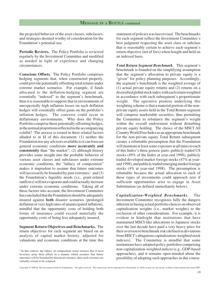the projected behavior of the asset classes, subclasses, and strategies deemed worthy of consideration for the Foundation's potential use.

**Periodic Reviews.** The Policy Portfolio is reviewed regularly by the Investment Committee and modified as needed in light of experience and changing circumstances.

**Conscious Offsets.** The Policy Portfolio comprises hedging segments that, when constructed properly, could provide potentially offsetting total returns under extreme market scenarios. For example, if funds allocated to the deflation-hedging segment are essentially "indexed" to the segment's benchmark, then it is reasonable to suppose that in environments of unexpectedly high inflation losses on such deflation hedges will essentially offset gains on the portfolio's inflation hedges. The converse could occur in deflationary environments. Why does the Policy Portfolio comprise these potentially offsetting hedges, in the normal proportions reflected in the accompanying exhibit? The answer is rooted in three related factors alluded to in §I of this document: (1) neither the Foundation nor any advisors available to it can forecast general economic conditions **more accurately and consistently** than "the market"; (2) although history provides some insight into the probable behavior of various asset classes and subclasses under extreme economic conditions, the "fallacy of composition" makes it imprudent to assume that future outcomes will necessarily be bounded by past extremes; $\frac{7}{3}$  and (3) the Foundation's liquidity needs (i.e., grant-related outflows) will not evaporate and could actually increase under extreme economic conditions. Taking all of these factors into account, the Investment Committee has concluded that the Foundation should be adequately insured against **both** disaster scenarios (prolonged deflation or very high rates of unanticipated inflation), mindful that the opportunity costs of holding both forms of insurance could exceed materially the opportunity costs of being less adequately insured.

**Segment Return Objectives and Benchmarks.** The return objectives for each segment are based on an analysis of capital market history, adjusted for valuations and economic conditions at the time this statement of policies was last revised. The benchmarks for each segment reflect the Investment Committee's best judgment respecting the asset class or subclass that is reasonably certain to achieve each segment's return objective (net of fees) when bought and held on an indexed basis.

*Total Return Segment Benchmark.* This segment's benchmark is founded on the simplifying assumption that the segment's allocation to private equity is a "given" for policy planning purposes. Accordingly, the segment's benchmark is the weighted average of (1) actual private equity returns and (2) returns on a diversified global stock index with each return weighted in accordance with each subsegment's proportionate weight. The operative premise underlying this weighting scheme is that a material portion of the nonprivate equity assets held in the Total Return segment will comprise marketable securities, thus permitting the Committee to rebalance the segment's weight within the overall endowment without disturbing private equity holding. The choice of the MSCI All Country World Free Index as an appropriate benchmark for the non-private equity Total Return subsegment creates a rebuttable presumption that the Foundation will maintain at least some exposure at all times to each of this Index's three generic parts: publicly traded US stocks (49% of the Index at year-end 1998), publicly traded developed market foreign stocks (47% at yearend 1998), and publicly traded emerging market foreign stocks (4% at year-end 1998). The presumption is rebuttable because the actual allocation to each of these types of investments could approach zero if sufficient opportunities arise to engage in Asset Substitution (as defined immediately below).

*Capitalization-Weighted Benchmarks.* The Investment Committee recognizes fully the dangers inherent in basing actual portfolio choices on observed capitalization weights (i.e., market weights) to the exclusion of other considerations. For example, it is evident in hindsight that institutions that have maintained MSCI-like allocations to Japanese stocks over the last decade have paid a very heavy price for their aversion to benchmark risk (defined as deviations from MSCI's ubiquitous capitalization-weighted stock indexes). The Committee is mindful that some institutions have adopted policy portfolios comprising non-capitalization-weighted indices (e.g., GDP-based approaches), and it remains open-minded about the possibility of adopting such approaches in due course.

<sup>7</sup> In this context, the fallacy of composition warns trustees that if most investors array their affairs in a manner which assumes that future outcomes will be bounded by historical extremes, then such extremes are virtually certain to be eclipsed.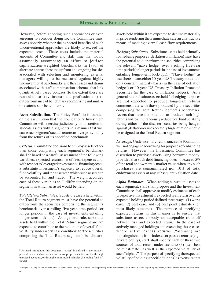However, before adopting such approaches or even agreeing to consider doing so, the Committee must assess soberly whether the expected benefits of such unconventional approaches are likely to exceed the expected costs. These costs include the material amounts of Committee and staff time that would assumedly accompany an effort to jettison capitalization-weighted benchmarks in favor of alternate approaches; the upfront and ongoing hassles associated with selecting and monitoring external managers willing to be measured against highly unconventional benchmarks; and the stresses and strains associated with staff compensation schemes that link quantitatively based bonuses (to the extent these are rewarded to key investment professionals) to outperformance of benchmarks comprising unfamiliar or esoteric sub-benchmarks.

**Asset Substitution.** The Policy Portfolio is founded on the assumption that the Foundation's Investment Committee will exercise judiciously its discretion to allocate assets within segments in a manner that will cause each segment's actual returns to diverge favorably from the returns of its specified benchmark.

*Criteria.* Committee decisions to employ assets<sup>8</sup> other than those comprising each segment's benchmark shall be based on a careful assessment of the following variables: expected returns, net of fees, expenses and, with respect to leveraged investments, financing costs; a substitute investment's capacity to reduce overall fund volatility; and the ease with which such assets can be accounted for and traded. The weight accorded each of these variables shall differ depending on the segment in which an asset would be held.

*Total Return Substitutes.* Substitute assets held within the Total Return segment must have the potential to outperform the securities comprising the segment's benchmark over a rolling five-year time period (or longer periods in the case of investments entailing longer-term lock-ups). As a general rule, substitute assets held within the Total Return segment are not expected to contribute to the reduction of overall fund volatility: under worst case conditions for the securities comprising the Total Return segment's benchmark,

assets held within it are expected to decline materially in price rendering their immediate sale an unattractive means of meeting external cash flow requirements.

*Hedging Substitutes.* Substitute assets held primarily for hedging purposes (deflation or inflation) must have the potential to outperform the securities comprising the relevant "naive hedge" over a rolling five-year time period (or longer periods in the case of investments entailing longer-term lock-ups). "Naive hedge" as used here means either 10-year US Treasury notes held on a constant maturity basis (in the case of deflation hedges) or 10-year US Treasury Inflation-Protected Securities (in the case of inflation hedges). As a general rule, substitute assets held for hedging purposes are not expected to produce long-term returns commensurate with those produced by the securities comprising the Total Return segment's benchmark. Assets that have the potential to produce such high returns and to simultaneously reduce total fund volatility during either of the disaster scenarios being hedged against (deflation or unexpectedly high inflation) should be assigned to the Total Return segment.

*Leverage.* Under normal circumstances the Foundation will not engage in borrowing for purposes of enhancing returns. However, the Investment Committee has discretion to purchase assets using borrowed money, provided that such debt financing does not exceed 5% of the total endowment's market value when any such purchases are consummated nor 10% of total endowment assets at any subsequent valuation date.

*Alpha Estimates.* When adding substitute assets to each segment, staff shall propose and the Investment Committee shall approve or modify estimates of each prospective investment's expected real return over its expected holding period defined three ways: (1) worst case, (2) best case, and (3) best point estimate (i.e., most likely outcome). The purpose of specifying expected returns in this manner is to ensure that substitute assets embody an acceptable trade-off between risk and expected return. In the case of actively managed holdings and excepting those cases where active excess returns ("alphas") are indistinguishable from indexed or passive returns (e.g., private equity), staff shall specify each of these two sources of total return under scenario (3) [i.e., best point estimate], as well as the expected volatility of such "alphas." The purpose of specifying the expected volatility of holding-specific "alphas" is to ensure that

<sup>8</sup> As used throughout this document, "asset" is defined in the broadest possible sense and includes securities or properties held directly, through managed accounts, or through commingled vehicles (including fund-offunds).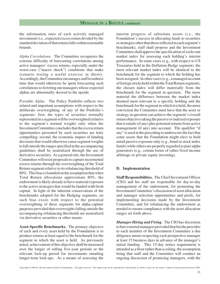the information ratio of each actively managed investment (i.e., expected excess return divided by the standard deviation of that return) falls within reasonable bounds.

*Alpha Correlations.* The Committee recognizes the extreme difficulty of forecasting correlations among active managers' excess returns, especially under the worst-case ("macro shock") conditions that make scenario testing a useful exercise in theory. Accordingly, the Committee encourages staff to redirect time that would otherwise be spent forecasting such correlations to ferreting out managers whose expected alphas are abnormally skewed to the upside.

*Portable Alpha.* The Policy Portfolio reflects two related and important assumptions with respect to the deliberate overweighting of any of the Portfolio's segments: first, the types of securities normally represented in a segment will be overweighted (relative to the segment's normal weight) only when the Investment Committee concludes that the excess return opportunities presented by such securities are truly compelling; second, the economic impact of funding decisions that would otherwise cause segment weights to fall outside the ranges specified in the accompanying guidelines shall be neutralized through the use of derivative securities. As a general rule, the Investment Committee will resist proposals to capture incremental excess returns through the overweighting of the Total Return segment relative to its rebalancing threshold of 80%. This bias is founded on the assumption that when Total Return allocations approximate 80%, the endowment is likely already to have material exposure to the active strategies that would be funded with fresh capital. In light of the inherent conservatism of the benchmarks adopted for the Hedging segments, no such bias exists with respect to the potential overweighting of these segments for alpha-capture purposes provided that overweights falling outside the accompanying rebalancing thresholds are neutralized via derivative securities or other means.

**Asset-Specific Benchmarks.** The primary objective of each and every asset held by the Foundation is to produce returns at least equal to the benchmark for the segment in which the asset is held. As previously noted, achievement of this objective shall be measured over the longer of rolling five-year periods or the relevant lock-up period for investments entailing longer-term lock-ups. As a means of assessing the

interim progress of substitute assets (i.e., the Foundation's success in allocating funds to securities or strategies other than those reflected in each segment's benchmark), staff shall propose and the Investment Committee shall approve the specification of a relevant market index for assessing each holding's interim performance. In some cases (e.g., with respect to US Treasuries held in the Deflation Hedge segment), the most relevant market index will be identical to the benchmark for the segment to which the holding has been assigned. In other cases (e.g., a managed account of foreign stocks held within the Total Return segment), the chosen index will differ materially from the benchmark for the segment in question. The more material the difference between the market index deemed most relevant to a specific holding and the benchmark for the segment in which it is held, the more conviction the Committee must have that the asset or strategy in question can achieve the segment's overall return objective taking the passive or indexed exposure that it entails (if any) plus potential returns from active management (if any) into account. The qualifier "if any" is used in the preceding to underscore the fact that some assets that the Foundation might elect to hold entail passive exposure only (e.g., bond or stock index funds) while others are properly regarded as pure alpha generators (e.g., certain forms of either fixed income arbitrage or private equity investing).

#### **D. Implementation**

**Staff Responsibilities.** The Chief Investment Officer (CIO) and his staff are responsible for day-to-day management of the endowment, for promoting the Investment Committee's discussion of asset allocation and manager selection opportunities and perils, for implementing decisions made by the Investment Committee, and for rebalancing the endowment as needed to ensure compliance with the asset allocation ranges set forth above.

*Manager Hiring and Firing.* The CIO has discretion to hire external managers provided that he/she provides to each member of the Investment Committee a due diligence memo respecting each prospective manager at least 15 business days in advance of the manager's initial funding. This 15-day notice requirement is intended as a floor rather than a ceiling, the assumption being that staff and the Committee will conduct an ongoing discussion of promising managers, with the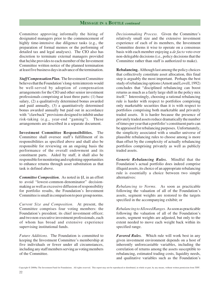Committee approving informally the hiring of designated managers prior to the commencement of highly time-intensive due diligence tasks (e.g., the preparation of formal memos or the performing of detailed tax and legal analyses). The CIO also has discretion to terminate external managers provided that he/she provides to each member of the Investment Committee written notice of the planned termination at least five business days in advance of the termination.

*Staff Compensation Plan.* The Investment Committee believes that the Foundation's long-term interests would be well-served by adoption of compensation arrangements for the CIO and other senior investment professionals comprising at least three parts: (1) base salary, (2) a qualitatively determined bonus awarded and paid annually, (3) a quantitatively determined bonus awarded annually but paid out in accordance with "clawback" provisions designed to inhibit undue risk-taking (e.g., year-end "gaming"). These arrangements are described in a separate document.

**Investment Committee Responsibilities.** The Committee shall oversee staff's fulfillment of its responsibilities as specified above and shall also be responsible for reviewing on an ongoing basis the performance of the overall endowment and its constituent parts. Aided by staff, it shall also be responsible for monitoring and exploiting opportunities to enhance returns through asset substitution as that task is defined above.

*Committee Composition.* As noted in §I, in an effort to avoid "lowest-common-denominator" decisionmaking as well as excessive diffusion of responsibility for portfolio results, the Foundation's Investment Committee is small in comparison to peer group norms.

*Current Size and Composition.* At present, the Committee comprises four voting members: the Foundation's president; its chief investment officer; and two non-executive investment professionals, each of whom has broad and extensive experience supervising institutional funds.

*Future Additions.* The Foundation is committed to keeping the Investment Committee's membership at five individuals or fewer under all circumstances, including any staff members serving as voting members of the Committee.

*Decisionmaking Process.* Given the Committee's relatively small size and the extensive investment experience of each of its members, the Investment Committee deems it wise to operate on a consensus basis with each member enjoying a *de facto* veto over non-delegable decisions (i.e., policy decisions that the Committee rather than staff is authorized to make).

**Rebalancing.** Although last among the policy choices that collectively constitute asset allocation, this final step is arguably the most important. Perhaps the best study of rebalancing options (Arnott and Lovell, 1992) concludes that "disciplined rebalancing can boost returns as much as a fairly large shift in the policy mix itself." Interestingly, choosing a rational rebalancing rule is harder with respect to portfolios comprising only marketable securities than it is with respect to portfolios comprising both marketable and privately traded assets. It is harder because the presence of privately traded assets reduce dramatically the number of times per year that a portfolio's constituent parts can be appraised for rebalancing purposes. Unfortunately, the simplicity associated with a smaller universe of plausible rebalancing rules to choose among is more than offset by the complexity of actually rebalancing portfolios comprising privately as well as publicly traded assets.

*Generic Rebalancing Rules.* Mindful that the Foundation's actual portfolio does indeed comprise illiquid assets, its choice of an appropriate rebalancing rule is essentially a choice between two simple alternatives:

*Rebalancing to Norms.* As soon as practicable following the valuation of all of the Foundation's assets, segment weights are restored to the targets specified in the accompanying exhibit; or

*Rebalancing to Allowed Ranges.* As soon as practicable following the valuation of all of the Foundation's assets, segment weights are adjusted, but only to the extent needed to move each weight back within its specified range.

*Favored Rules.* Which rule will work best in any given investment environment depends on a host of inherently unforecastable variables, including the correlation of returns among the assets susceptible to rebalancing, estimated trading costs, liquidity needs, and qualitative variables such as the Foundation's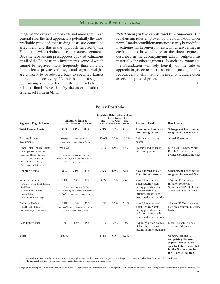#### **MESSAGE IN A BOTTLE** *concluded*

image in the eyes of valued external managers. As a general rule, the first approach is potentially the most profitable provided that trading costs are controlled effectively, and this is the approach favored by the Foundation when rebalancing capital across segments. Because rebalancing presupposes updated valuations on all of the Foundation's investments, some of which cannot be repriced more frequently than annually (e.g., selected private equities), actual segment weights are unlikely to be adjusted back to specified targets more than once every 12 months. Intra-segment rebalancing is dictated less by either of the rebalancing rules outlined above than by the asset substitution criteria set forth in §II.C.

*Rebalancing in Extreme Market Environments.* The rebalancing rules employed by the Foundation under normal market conditions must necessarily be modified in extreme market environments, which are defined as environments in which one of the three segments described in the accompanying exhibit outperforms materially the other segments. In such environments, the Foundation will rely heavily on the sale of appreciating assets to meet grantmaking needs, thereby reducing if not eliminating the need to liquidate other assets at depressed prices.

❐

#### **Policy Portfolio**

| <b>Expected Returns Net of Fees</b>                                                                                                                                                            |                                                                                                    |                                                                                                                       |                                              |          |                                                            |                                                                                                                                                       |                                                                                                                                  |                                                                                                                                                     |
|------------------------------------------------------------------------------------------------------------------------------------------------------------------------------------------------|----------------------------------------------------------------------------------------------------|-----------------------------------------------------------------------------------------------------------------------|----------------------------------------------|----------|------------------------------------------------------------|-------------------------------------------------------------------------------------------------------------------------------------------------------|----------------------------------------------------------------------------------------------------------------------------------|-----------------------------------------------------------------------------------------------------------------------------------------------------|
| <b>Segment / Eligible Assets</b>                                                                                                                                                               | <b>Target</b>                                                                                      | <b>Allocation Ranges</b>                                                                                              | Minimum Maximum                              | Real     | <b>Excess Return</b><br>from Asset<br>Return Substitution* | Real<br><b>Total</b><br>Return                                                                                                                        | <b>Reason(s)</b> Held                                                                                                            | <b>Benchmark</b>                                                                                                                                    |
| <b>Total Return Assets</b>                                                                                                                                                                     | 75%                                                                                                | 60%                                                                                                                   | 80%                                          | $6.3\%$  | $1.0\%$                                                    | 7.3%                                                                                                                                                  | Preserve and enhance<br>purchasing power                                                                                         | <b>Subsegment benchmarks</b><br>weighted by normal %s                                                                                               |
| <b>Existing Private</b><br>Investments                                                                                                                                                         | per legal<br>agreements                                                                            |                                                                                                                       | dictated by PI-<br>related cash flows        | $10.0\%$ | $0.0\%$                                                    | 10.0%                                                                                                                                                 | Enhance purchasing<br>power                                                                                                      | Actual PI returns                                                                                                                                   |
| <b>Other Total Return Assets</b><br>· Developed Market Equities<br>• Emerging Markets Equities<br>• Private Equity Strategies<br>• Absolute Return Strategies<br>• Other Assets and Strategies | $75\%$ less PIs                                                                                    | dictated by asset substitution<br>in the accompanying document                                                        | criteria and liquidity constraints set forth | 5.0%     | 1.5%                                                       | 6.5%                                                                                                                                                  | Preserve and enhance<br>purchasing power                                                                                         | <b>MSCI All Country World</b><br>Free Index adjusted for<br>applicable withholding taxes                                                            |
| <b>Hedging Assets</b>                                                                                                                                                                          | 25%                                                                                                | 20%                                                                                                                   | 40%                                          | 2.6%     | $0.5\%$                                                    | 3.1%                                                                                                                                                  | Avoid forced sale of<br><b>Total Return Assets</b>                                                                               | <b>Subsegment benchmarks</b><br>weighted by normal %s                                                                                               |
| <b>Inflation Hedges</b><br>· Natural Resource-Related Assets<br>• Real Estate<br>• Inflation-Linked Bonds<br>• Commodities<br>· Other Assets and Strategies                                    | 10%                                                                                                | 15%<br>dictated by asset substitution<br>criteria and liquidity constraints set forth<br>in the accompanying document | 3.5%                                         | $0.5\%$  | 4.0%                                                       | Avoid forced sale of<br><b>Total Return Assets</b><br>during periods when<br>unexpectedly high<br>inflation causes such<br>assets to decline in price | 10-year US Treasury<br><b>Inflation-Protected</b><br>Securities (TIPS) held on<br>a constant maturity basis                      |                                                                                                                                                     |
| <b>Deflation Hedges</b><br>• US\$ High Grade Bonds<br>• Non-US\$ High Grade Bonds                                                                                                              | 15%<br>10%<br>20%<br>dictated by asset substitution criteria<br>set forth in accompanying document |                                                                                                                       |                                              | 2.0%     | 0.5%                                                       | 2.5%                                                                                                                                                  | Avoid forced sale of<br><b>Total Return Assets</b><br>during periods when<br>deflation causes such<br>assets to decline in price | 10-year US Treasury note<br>held on a constant maturity<br>basis                                                                                    |
| Cash Equivalents                                                                                                                                                                               | $0\%$                                                                                              | TBD**                                                                                                                 | 15%                                          | 1.0%     | $0.0\%$                                                    | 1.0%                                                                                                                                                  | Liquidity buffer; source<br>of leverage to enhance<br>returns in other segments                                                  | Merrill Lynch 182-day<br>Treasury Bill Index                                                                                                        |
| <b>Total</b>                                                                                                                                                                                   | $100\%$                                                                                            |                                                                                                                       |                                              | 5.4%     | $0.9\%$                                                    | $6.3\%$                                                                                                                                               |                                                                                                                                  | <b>Constructed index</b><br>comprising the asset<br>segment benchmarks<br>specified above weighted<br>by the % allocation in<br>the "Target" column |

Asset substitution means the use of any managers, strategies, or tactics that could cause a segment's or subsegment's returns to deviate from the returns of its benchmark

Minimum cash position could be negative, subject to discussions of appropriate leverage ratios.

Copyright © 2000 by The Investment Fund for Foundations. All rights reserved. This report may not be reproduced or distributed, in whole or part, by any means, without written permission from TIFF.